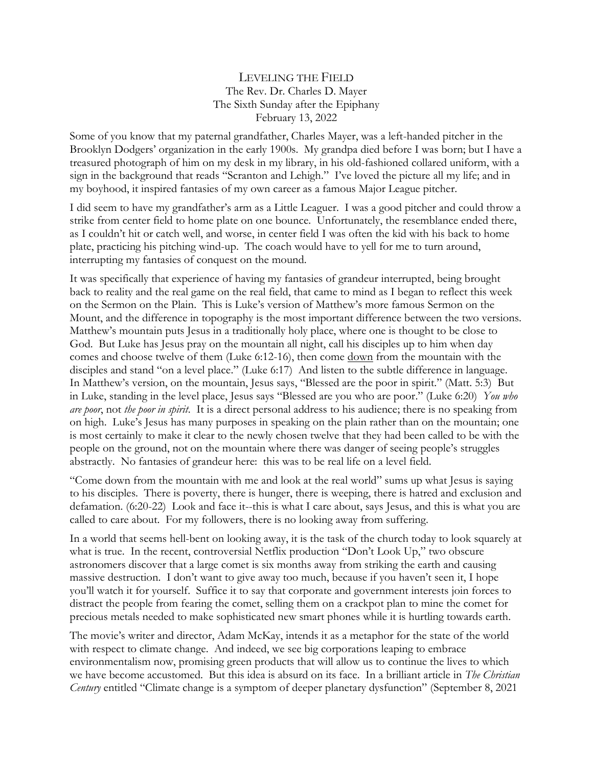## LEVELING THE FIELD The Rev. Dr. Charles D. Mayer The Sixth Sunday after the Epiphany February 13, 2022

Some of you know that my paternal grandfather, Charles Mayer, was a left-handed pitcher in the Brooklyn Dodgers' organization in the early 1900s. My grandpa died before I was born; but I have a treasured photograph of him on my desk in my library, in his old-fashioned collared uniform, with a sign in the background that reads "Scranton and Lehigh." I've loved the picture all my life; and in my boyhood, it inspired fantasies of my own career as a famous Major League pitcher.

I did seem to have my grandfather's arm as a Little Leaguer. I was a good pitcher and could throw a strike from center field to home plate on one bounce. Unfortunately, the resemblance ended there, as I couldn't hit or catch well, and worse, in center field I was often the kid with his back to home plate, practicing his pitching wind-up. The coach would have to yell for me to turn around, interrupting my fantasies of conquest on the mound.

It was specifically that experience of having my fantasies of grandeur interrupted, being brought back to reality and the real game on the real field, that came to mind as I began to reflect this week on the Sermon on the Plain. This is Luke's version of Matthew's more famous Sermon on the Mount, and the difference in topography is the most important difference between the two versions. Matthew's mountain puts Jesus in a traditionally holy place, where one is thought to be close to God. But Luke has Jesus pray on the mountain all night, call his disciples up to him when day comes and choose twelve of them (Luke 6:12-16), then come down from the mountain with the disciples and stand "on a level place." (Luke 6:17) And listen to the subtle difference in language. In Matthew's version, on the mountain, Jesus says, "Blessed are the poor in spirit." (Matt. 5:3) But in Luke, standing in the level place, Jesus says "Blessed are you who are poor." (Luke 6:20) *You who are poor*, not *the poor in spirit*. It is a direct personal address to his audience; there is no speaking from on high. Luke's Jesus has many purposes in speaking on the plain rather than on the mountain; one is most certainly to make it clear to the newly chosen twelve that they had been called to be with the people on the ground, not on the mountain where there was danger of seeing people's struggles abstractly. No fantasies of grandeur here: this was to be real life on a level field.

"Come down from the mountain with me and look at the real world" sums up what Jesus is saying to his disciples. There is poverty, there is hunger, there is weeping, there is hatred and exclusion and defamation. (6:20-22) Look and face it--this is what I care about, says Jesus, and this is what you are called to care about. For my followers, there is no looking away from suffering.

In a world that seems hell-bent on looking away, it is the task of the church today to look squarely at what is true. In the recent, controversial Netflix production "Don't Look Up," two obscure astronomers discover that a large comet is six months away from striking the earth and causing massive destruction. I don't want to give away too much, because if you haven't seen it, I hope you'll watch it for yourself. Suffice it to say that corporate and government interests join forces to distract the people from fearing the comet, selling them on a crackpot plan to mine the comet for precious metals needed to make sophisticated new smart phones while it is hurtling towards earth.

The movie's writer and director, Adam McKay, intends it as a metaphor for the state of the world with respect to climate change. And indeed, we see big corporations leaping to embrace environmentalism now, promising green products that will allow us to continue the lives to which we have become accustomed. But this idea is absurd on its face. In a brilliant article in *The Christian Century* entitled "Climate change is a symptom of deeper planetary dysfunction" (September 8, 2021